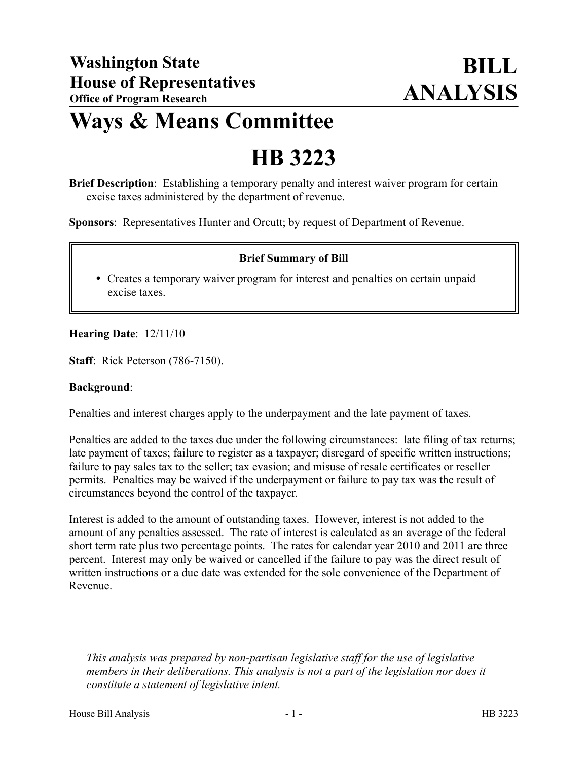## **Ways & Means Committee**

# **HB 3223**

**Brief Description**: Establishing a temporary penalty and interest waiver program for certain excise taxes administered by the department of revenue.

**Sponsors**: Representatives Hunter and Orcutt; by request of Department of Revenue.

#### **Brief Summary of Bill**

 Creates a temporary waiver program for interest and penalties on certain unpaid excise taxes.

#### **Hearing Date**: 12/11/10

**Staff**: Rick Peterson (786-7150).

#### **Background**:

Penalties and interest charges apply to the underpayment and the late payment of taxes.

Penalties are added to the taxes due under the following circumstances: late filing of tax returns; late payment of taxes; failure to register as a taxpayer; disregard of specific written instructions; failure to pay sales tax to the seller; tax evasion; and misuse of resale certificates or reseller permits. Penalties may be waived if the underpayment or failure to pay tax was the result of circumstances beyond the control of the taxpayer.

Interest is added to the amount of outstanding taxes. However, interest is not added to the amount of any penalties assessed. The rate of interest is calculated as an average of the federal short term rate plus two percentage points. The rates for calendar year 2010 and 2011 are three percent. Interest may only be waived or cancelled if the failure to pay was the direct result of written instructions or a due date was extended for the sole convenience of the Department of Revenue.

––––––––––––––––––––––

*This analysis was prepared by non-partisan legislative staff for the use of legislative members in their deliberations. This analysis is not a part of the legislation nor does it constitute a statement of legislative intent.*